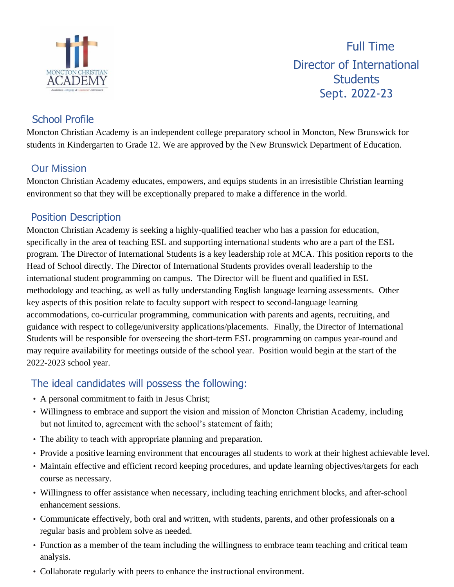

Full Time Director of International **Students** Sept. 2022-23

# School Profile

Moncton Christian Academy is an independent college preparatory school in Moncton, New Brunswick for students in Kindergarten to Grade 12. We are approved by the New Brunswick Department of Education.

# Our Mission

Moncton Christian Academy educates, empowers, and equips students in an irresistible Christian learning environment so that they will be exceptionally prepared to make a difference in the world.

# Position Description

Moncton Christian Academy is seeking a highly-qualified teacher who has a passion for education, specifically in the area of teaching ESL and supporting international students who are a part of the ESL program. The Director of International Students is a key leadership role at MCA. This position reports to the Head of School directly. The Director of International Students provides overall leadership to the international student programming on campus. The Director will be fluent and qualified in ESL methodology and teaching, as well as fully understanding English language learning assessments. Other key aspects of this position relate to faculty support with respect to second-language learning accommodations, co-curricular programming, communication with parents and agents, recruiting, and guidance with respect to college/university applications/placements. Finally, the Director of International Students will be responsible for overseeing the short-term ESL programming on campus year-round and may require availability for meetings outside of the school year. Position would begin at the start of the 2022-2023 school year.

# The ideal candidates will possess the following:

- A personal commitment to faith in Jesus Christ;
- Willingness to embrace and support the vision and mission of Moncton Christian Academy, including but not limited to, agreement with the school's statement of faith;
- The ability to teach with appropriate planning and preparation.
- Provide a positive learning environment that encourages all students to work at their highest achievable level.
- Maintain effective and efficient record keeping procedures, and update learning objectives/targets for each course as necessary.
- Willingness to offer assistance when necessary, including teaching enrichment blocks, and after-school enhancement sessions.
- Communicate effectively, both oral and written, with students, parents, and other professionals on a regular basis and problem solve as needed.
- Function as a member of the team including the willingness to embrace team teaching and critical team analysis.
- Collaborate regularly with peers to enhance the instructional environment.